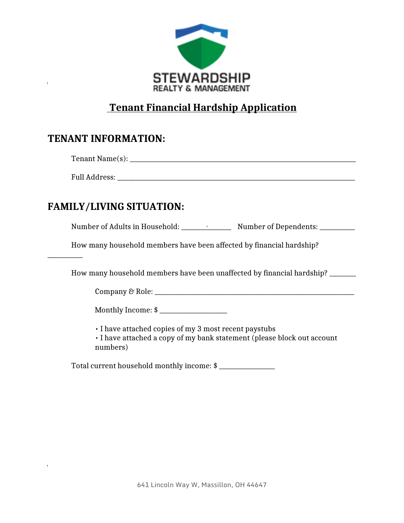

# **Tenant Financial Hardship Application**

## **TENANT INFORMATION:**

Full Address: \_\_\_\_\_\_\_\_\_\_\_\_\_\_\_\_\_\_\_\_\_\_\_\_\_\_\_\_\_\_\_\_\_\_\_\_\_\_\_\_\_\_\_\_\_\_\_\_\_\_\_\_\_\_\_\_\_\_\_\_\_\_\_\_\_\_\_\_\_\_\_\_\_\_\_\_\_\_\_\_\_

# **FAMILY/LIVING SITUATION:**

\_\_\_\_\_\_\_\_\_\_\_\_

÷

Number of Adults in Household: \_\_\_\_\_\_\_\_\_\_\_\_\_\_\_\_\_ Number of Dependents: \_\_\_\_\_\_\_\_\_\_\_\_

How many household members have been affected by financial hardship?

How many household members have been unaffected by financial hardship? \_\_\_\_\_\_\_\_\_

Company & Role:

Monthly Income: \$ \_\_\_\_\_\_\_\_\_\_\_\_\_\_\_\_\_\_\_\_\_\_\_

• I have attached copies of my 3 most recent paystubs

• I have attached a copy of my bank statement (please block out account numbers)

Total current household monthly income: \$ \_\_\_\_\_\_\_\_\_\_\_\_\_\_\_\_\_\_\_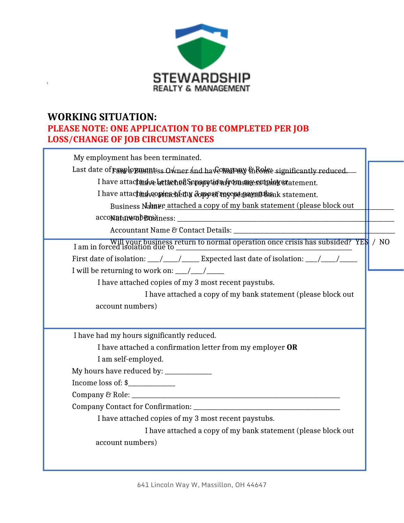

#### **WORKING SITUATION: PLEASE NOTE: ONE APPLICATION TO BE COMPLETED PER JOB LOSS/CHANGE OF JOB CIRCUMSTANCES**

 $\mathbb{R}^{n\times n}$ 

| My employment has been terminated.                                                      |  |  |
|-----------------------------------------------------------------------------------------|--|--|
| Last date of pamp to push tiss Owner and have madamy in Rome significantly reduced.     |  |  |
| I have attached betten et Sepory to miron sme supploy statement.                        |  |  |
| I have attachnd worderched a compet more density thank statement.                       |  |  |
| Business Namve attached a copy of my bank statement (please block out                   |  |  |
|                                                                                         |  |  |
|                                                                                         |  |  |
|                                                                                         |  |  |
| First date of isolation: ___/____/_____ Expected last date of isolation: ___/____/_____ |  |  |
|                                                                                         |  |  |
| I have attached copies of my 3 most recent paystubs.                                    |  |  |
| I have attached a copy of my bank statement (please block out                           |  |  |
| account numbers)                                                                        |  |  |
|                                                                                         |  |  |
| I have had my hours significantly reduced.                                              |  |  |
| I have attached a confirmation letter from my employer OR                               |  |  |
| I am self-employed.                                                                     |  |  |
| My hours have reduced by: _____________                                                 |  |  |
| Income loss of: \$                                                                      |  |  |
|                                                                                         |  |  |
|                                                                                         |  |  |
| I have attached copies of my 3 most recent paystubs.                                    |  |  |
| I have attached a copy of my bank statement (please block out                           |  |  |
| account numbers)                                                                        |  |  |
|                                                                                         |  |  |
|                                                                                         |  |  |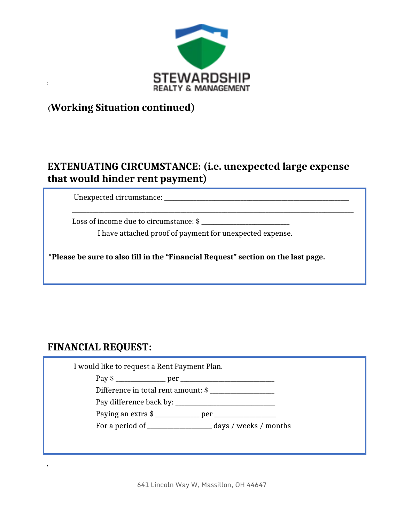

## **(Working Situation continued)**

#### **EXTENUATING CIRCUMSTANCE: (i.e. unexpected large expense that would hinder rent payment)**

Unexpected circumstance: \_\_\_\_\_\_\_\_\_\_\_\_\_\_\_\_\_\_\_\_\_\_\_\_\_\_\_\_\_\_\_\_\_\_\_\_\_\_\_\_\_\_\_\_\_\_\_\_\_\_\_\_\_\_\_\_\_\_\_\_\_\_\_

Loss of income due to circumstance: \$ \_\_\_\_\_\_\_\_\_\_\_\_\_\_\_\_\_\_\_\_\_\_\_\_\_\_\_\_\_\_

I have attached proof of payment for unexpected expense.

**\*Please be sure to also fill in the "Financial Request" section on the last page.**

#### **FINANCIAL REQUEST:**

 I would like to request a Rent Payment Plan. Pay \$ \_\_\_\_\_\_\_\_\_\_\_\_\_\_\_\_\_ per \_\_\_\_\_\_\_\_\_\_\_\_\_\_\_\_\_\_\_\_\_\_\_\_\_\_\_\_\_\_\_\_ Difference in total rent amount: \$ \_\_\_\_\_\_\_\_\_\_\_\_\_\_\_\_\_\_\_\_\_\_ Pay difference back by: \_\_\_\_\_\_\_\_\_\_\_\_\_\_\_\_\_\_\_\_\_\_\_\_\_\_\_\_\_\_\_\_\_\_ Paying an extra \$ \_\_\_\_\_\_\_\_\_\_\_\_\_\_\_ per \_\_\_\_\_\_\_\_\_\_\_\_\_\_\_\_\_\_\_\_\_ For a period of \_\_\_\_\_\_\_\_\_\_\_\_\_\_\_\_\_\_\_\_\_\_ days / weeks / months